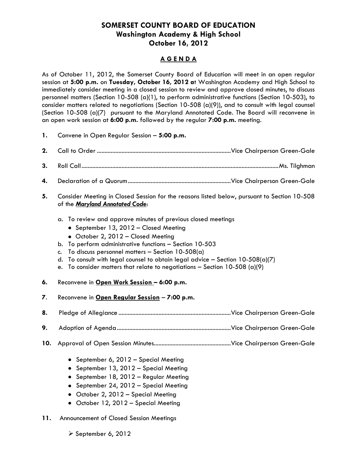## **SOMERSET COUNTY BOARD OF EDUCATION Washington Academy & High School October 16, 2012**

## **A G E N D A**

As of October 11, 2012, the Somerset County Board of Education will meet in an open regular session at **5:00 p.m.** on **Tuesday, October 16, 2012 a**t Washington Academy and High School to immediately consider meeting in a closed session to review and approve closed minutes, to discuss personnel matters (Section 10-508 (a)(1), to perform administrative functions (Section 10-503), to consider matters related to negotiations (Section 10-508 (a)(9)), and to consult with legal counsel (Section 10-508 (a)(7) pursuant to the Maryland Annotated Code. The Board will reconvene in an open work session at **6:00 p.m.** followed by the regular **7:00 p.m.** meeting.

- **1.** Convene in Open Regular Session **5:00 p.m.**
- **2.** Call to Order .......................................................................................Vice Chairperson Green-Gale
- **3.** Roll Call................................................................................................................................Ms. Tilghman
- **4.** Declaration of a Quorum...................................................................Vice Chairperson Green-Gale
- **5.** Consider Meeting in Closed Session for the reasons listed below, pursuant to Section 10-508 of the *Maryland Annotated Code*:
	- a. To review and approve minutes of previous closed meetings
		- September 13, 2012 Closed Meeting
		- October 2, 2012 Closed Meeting
	- b. To perform administrative functions Section 10-503
	- c. To discuss personnel matters  $-$  Section 10-508(a)
	- d. To consult with legal counsel to obtain legal advice Section  $10-508(a)/7$ )
	- e. To consider matters that relate to negotiations Section 10-508 (a)(9)
- **6.** Reconvene in **Open Work Session – 6:00 p.m.**
- **7**. Reconvene in **Open Regular Session 7:00 p.m.**
- **8.** Pledge of Allegiance .........................................................................Vice Chairperson Green-Gale
- **9.** Adoption of Agenda..........................................................................Vice Chairperson Green-Gale
- **10.** Approval of Open Session Minutes..................................................Vice Chairperson Green-Gale
	- September 6, 2012 Special Meeting
	- September 13, 2012 Special Meeting
	- September 18, 2012 Regular Meeting
	- September 24, 2012 Special Meeting
	- October 2, 2012 Special Meeting
	- October 12, 2012 Special Meeting
- **11.** Announcement of Closed Session Meetings
	- $\triangleright$  September 6, 2012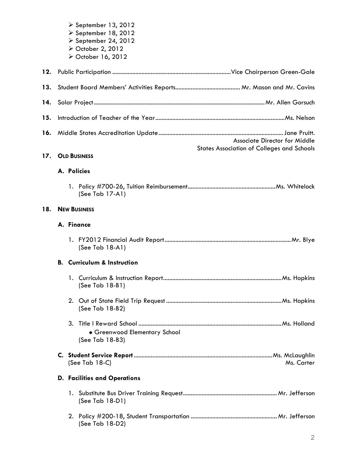|     | $\geq$ September 13, 2012<br>$\triangleright$ September 18, 2012<br>$\triangleright$ September 24, 2012<br>> October 2, 2012<br>> October 16, 2012 |
|-----|----------------------------------------------------------------------------------------------------------------------------------------------------|
| 12. |                                                                                                                                                    |
| 13. |                                                                                                                                                    |
| 14. |                                                                                                                                                    |
| 15. |                                                                                                                                                    |
| 16. | Associate Director for Middle<br><b>States Association of Colleges and Schools</b>                                                                 |
| 17. | <b>OLD BUSINESS</b>                                                                                                                                |
|     | A. Policies                                                                                                                                        |
|     | (See Tab 17-A1)                                                                                                                                    |
| 18. | <b>NEW BUSINESS</b>                                                                                                                                |
|     | A. Finance                                                                                                                                         |
|     | (See Tab 18-A1)                                                                                                                                    |
|     | <b>B.</b> Curriculum & Instruction                                                                                                                 |
|     | (See Tab 18-B1)                                                                                                                                    |
|     | (See Tab 18-B2)                                                                                                                                    |
|     | · Greenwood Elementary School<br>(See Tab 18-B3)                                                                                                   |
|     | Ms. Carter<br>(See Tab 18-C)                                                                                                                       |
|     | <b>D. Facilities and Operations</b>                                                                                                                |
|     | (See Tab 18-D1)                                                                                                                                    |

2. Policy #200-18, Student Transportation ........................................................Mr. Jefferson (See Tab 18-D2)